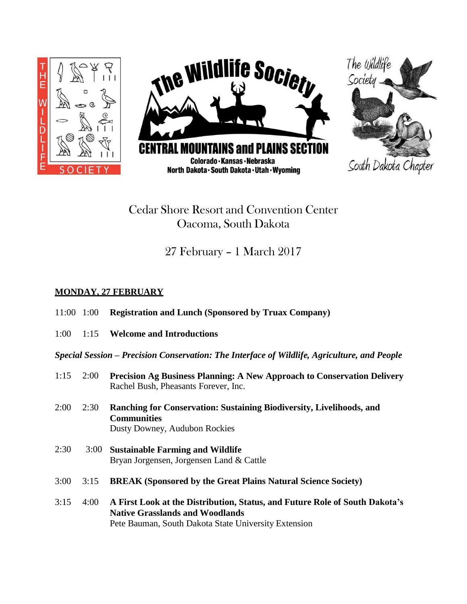

## Cedar Shore Resort and Convention Center Oacoma, South Dakota

# 27 February – 1 March 2017

## **MONDAY, 27 FEBRUARY**

- 11:00 1:00 **Registration and Lunch (Sponsored by Truax Company)**
- 1:00 1:15 **Welcome and Introductions**

*Special Session – Precision Conservation: The Interface of Wildlife, Agriculture, and People*

- 1:15 2:00 **Precision Ag Business Planning: A New Approach to Conservation Delivery** Rachel Bush, Pheasants Forever, Inc.
- 2:00 2:30 **Ranching for Conservation: Sustaining Biodiversity, Livelihoods, and Communities** Dusty Downey, Audubon Rockies
- 2:30 3:00 **Sustainable Farming and Wildlife** Bryan Jorgensen, Jorgensen Land & Cattle
- 3:00 3:15 **BREAK (Sponsored by the Great Plains Natural Science Society)**
- 3:15 4:00 **A First Look at the Distribution, Status, and Future Role of South Dakota's Native Grasslands and Woodlands** Pete Bauman, South Dakota State University Extension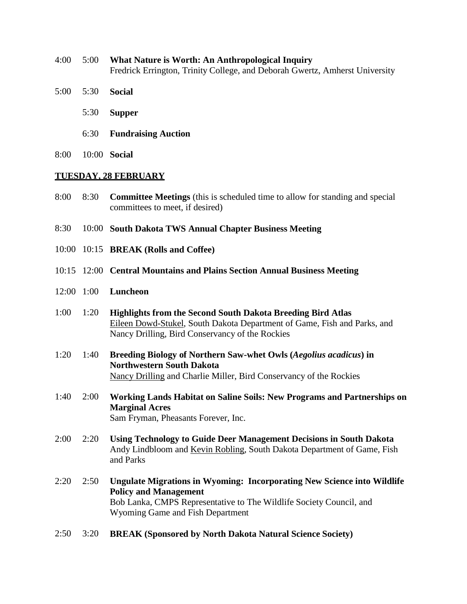- 4:00 5:00 **What Nature is Worth: An Anthropological Inquiry** Fredrick Errington, Trinity College, and Deborah Gwertz, Amherst University
- 5:00 5:30 **Social**
	- 5:30 **Supper**
	- 6:30 **Fundraising Auction**
- 8:00 10:00 **Social**

#### **TUESDAY, 28 FEBRUARY**

- 8:00 8:30 **Committee Meetings** (this is scheduled time to allow for standing and special committees to meet, if desired)
- 8:30 10:00 **South Dakota TWS Annual Chapter Business Meeting**
- 10:00 10:15 **BREAK (Rolls and Coffee)**
- 10:15 12:00 **Central Mountains and Plains Section Annual Business Meeting**
- 12:00 1:00 **Luncheon**
- 1:00 1:20 **Highlights from the Second South Dakota Breeding Bird Atlas** Eileen Dowd-Stukel, South Dakota Department of Game, Fish and Parks, and Nancy Drilling, Bird Conservancy of the Rockies
- 1:20 1:40 **Breeding Biology of Northern Saw-whet Owls (***Aegolius acadicus***) in Northwestern South Dakota** Nancy Drilling and Charlie Miller, Bird Conservancy of the Rockies
- 1:40 2:00 **Working Lands Habitat on Saline Soils: New Programs and Partnerships on Marginal Acres** Sam Fryman, Pheasants Forever, Inc.
- 2:00 2:20 **Using Technology to Guide Deer Management Decisions in South Dakota** Andy Lindbloom and Kevin Robling, South Dakota Department of Game, Fish and Parks
- 2:20 2:50 **Ungulate Migrations in Wyoming: Incorporating New Science into Wildlife Policy and Management** Bob Lanka, CMPS Representative to The Wildlife Society Council, and Wyoming Game and Fish Department
- 2:50 3:20 **BREAK (Sponsored by North Dakota Natural Science Society)**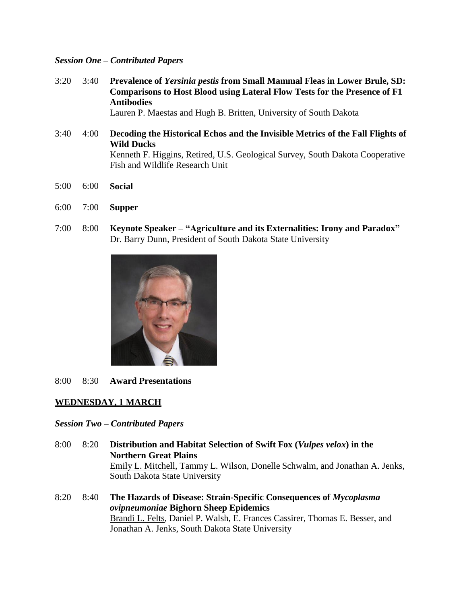## *Session One – Contributed Papers*

- 3:20 3:40 **Prevalence of** *Yersinia pestis* **from Small Mammal Fleas in Lower Brule, SD: Comparisons to Host Blood using Lateral Flow Tests for the Presence of F1 Antibodies** Lauren P. Maestas and Hugh B. Britten, University of South Dakota
- 3:40 4:00 **Decoding the Historical Echos and the Invisible Metrics of the Fall Flights of Wild Ducks** Kenneth F. Higgins, Retired, U.S. Geological Survey, South Dakota Cooperative Fish and Wildlife Research Unit
- 5:00 6:00 **Social**
- 6:00 7:00 **Supper**
- 7:00 8:00 **Keynote Speaker – "Agriculture and its Externalities: Irony and Paradox"** Dr. Barry Dunn, President of South Dakota State University



8:00 8:30 **Award Presentations**

## **WEDNESDAY, 1 MARCH**

## *Session Two – Contributed Papers*

- 8:00 8:20 **Distribution and Habitat Selection of Swift Fox (***Vulpes velox***) in the Northern Great Plains** Emily L. Mitchell, Tammy L. Wilson, Donelle Schwalm, and Jonathan A. Jenks, South Dakota State University
- 8:20 8:40 **The Hazards of Disease: Strain-Specific Consequences of** *Mycoplasma ovipneumoniae* **Bighorn Sheep Epidemics** Brandi L. Felts, Daniel P. Walsh, E. Frances Cassirer, Thomas E. Besser, and Jonathan A. Jenks, South Dakota State University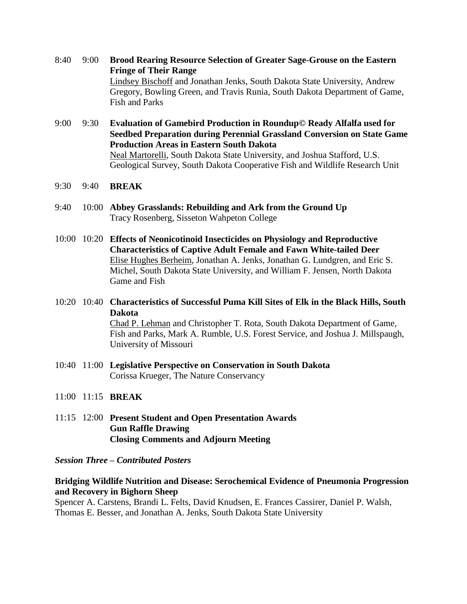- 8:40 9:00 **Brood Rearing Resource Selection of Greater Sage-Grouse on the Eastern Fringe of Their Range** Lindsey Bischoff and Jonathan Jenks, South Dakota State University, Andrew Gregory, Bowling Green, and Travis Runia, South Dakota Department of Game, Fish and Parks
- 9:00 9:30 **Evaluation of Gamebird Production in Roundup© Ready Alfalfa used for Seedbed Preparation during Perennial Grassland Conversion on State Game Production Areas in Eastern South Dakota** Neal Martorelli, South Dakota State University, and Joshua Stafford, U.S. Geological Survey, South Dakota Cooperative Fish and Wildlife Research Unit
- 9:30 9:40 **BREAK**
- 9:40 10:00 **Abbey Grasslands: Rebuilding and Ark from the Ground Up** Tracy Rosenberg, Sisseton Wahpeton College
- 10:00 10:20 **Effects of Neonicotinoid Insecticides on Physiology and Reproductive Characteristics of Captive Adult Female and Fawn White-tailed Deer** Elise Hughes Berheim, Jonathan A. Jenks, Jonathan G. Lundgren, and Eric S. Michel, South Dakota State University, and William F. Jensen, North Dakota Game and Fish
- 10:20 10:40 **Characteristics of Successful Puma Kill Sites of Elk in the Black Hills, South Dakota** Chad P. Lehman and Christopher T. Rota, South Dakota Department of Game, Fish and Parks, Mark A. Rumble, U.S. Forest Service, and Joshua J. Millspaugh,

University of Missouri

- 10:40 11:00 **Legislative Perspective on Conservation in South Dakota** Corissa Krueger, The Nature Conservancy
- 11:00 11:15 **BREAK**
- 11:15 12:00 **Present Student and Open Presentation Awards Gun Raffle Drawing Closing Comments and Adjourn Meeting**

#### *Session Three – Contributed Posters*

## **Bridging Wildlife Nutrition and Disease: Serochemical Evidence of Pneumonia Progression and Recovery in Bighorn Sheep**

Spencer A. Carstens, Brandi L. Felts, David Knudsen, E. Frances Cassirer, Daniel P. Walsh, Thomas E. Besser, and Jonathan A. Jenks, South Dakota State University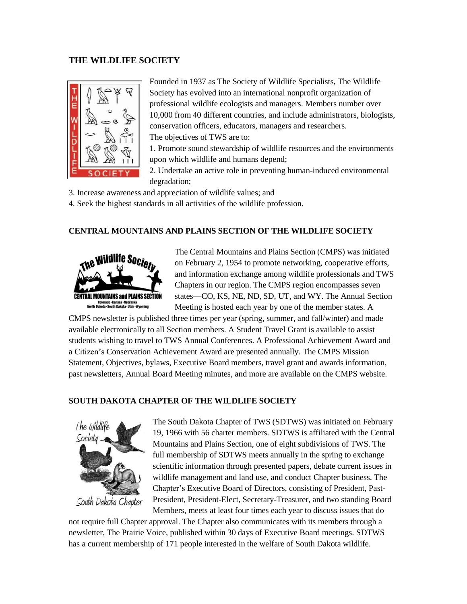#### **THE WILDLIFE SOCIETY**



Founded in 1937 as The Society of Wildlife Specialists, The [Wildlife](http://www.wildlife.org/) [Society](http://www.wildlife.org/) has evolved into an international nonprofit organization of professional wildlife ecologists and managers. Members number over 10,000 from 40 different countries, and include administrators, biologists, conservation officers, educators, managers and researchers. The objectives of TWS are to:

1. Promote sound stewardship of wildlife resources and the environments upon which wildlife and humans depend;

2. Undertake an active role in preventing human-induced environmental degradation;

3. Increase awareness and appreciation of wildlife values; and

4. Seek the highest standards in all activities of the wildlife profession.

#### **CENTRAL MOUNTAINS AND PLAINS SECTION OF THE WILDLIFE SOCIETY**



The Central Mountains and Plains Section (CMPS) was initiated on February 2, 1954 to promote networking, cooperative efforts, and information exchange among wildlife professionals and TWS Chapters in our region. The CMPS region encompasses seven states—CO, KS, NE, ND, SD, UT, and WY. The Annual Section Meeting is hosted each year by one of the member states. A

CMPS newsletter is published three times per year (spring, summer, and fall/winter) and made available electronically to all Section members. A Student Travel Grant is available to assist students wishing to travel to TWS Annual Conferences. A Professional Achievement Award and a Citizen's Conservation Achievement Award are presented annually. The CMPS Mission Statement, Objectives, bylaws, Executive Board members, travel grant and awards information, past newsletters, Annual Board Meeting minutes, and more are available on the CMPS website.

#### **SOUTH DAKOTA CHAPTER OF THE WILDLIFE SOCIETY**



South Dakota Chapter

The South Dakota Chapter of TWS (SDTWS) was initiated on February 19, 1966 with 56 charter members. SDTWS is affiliated with [the Central](http://wildlife.org/CMP/) [Mountains](http://wildlife.org/CMP/) and Plains Section, one of eight subdivisions of TWS. The full membership of SDTWS meets annually in the spring to exchange scientific information through presented papers, debate current issues in wildlife management and land use, and conduct Chapter business. The Chapter's Executive Board of Directors, consisting of President, Past-President, President-Elect, Secretary-Treasurer, and two standing Board Members, meets at least four times each year to discuss issues that do

not require full Chapter approval. The Chapter also communicates with its members through a newsletter, The Prairie Voice, published within 30 days of Executive Board meetings. SDTWS has a current membership of 171 people interested in the welfare of South Dakota wildlife.